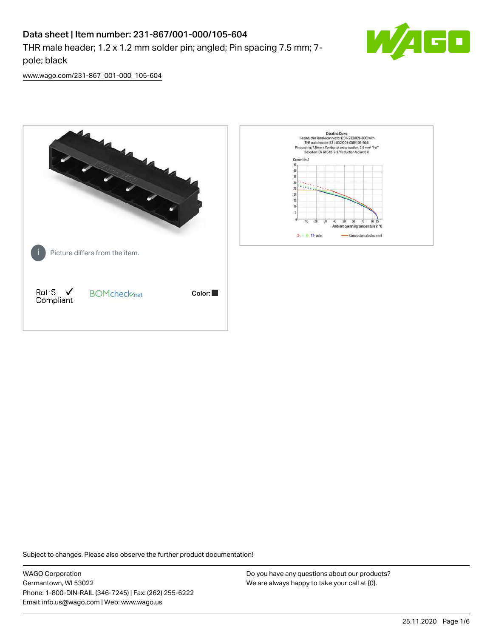# Data sheet | Item number: 231-867/001-000/105-604

THR male header; 1.2 x 1.2 mm solder pin; angled; Pin spacing 7.5 mm; 7 pole; black



[www.wago.com/231-867\\_001-000\\_105-604](http://www.wago.com/231-867_001-000_105-604)



Subject to changes. Please also observe the further product documentation!

WAGO Corporation Germantown, WI 53022 Phone: 1-800-DIN-RAIL (346-7245) | Fax: (262) 255-6222 Email: info.us@wago.com | Web: www.wago.us

Do you have any questions about our products? We are always happy to take your call at {0}.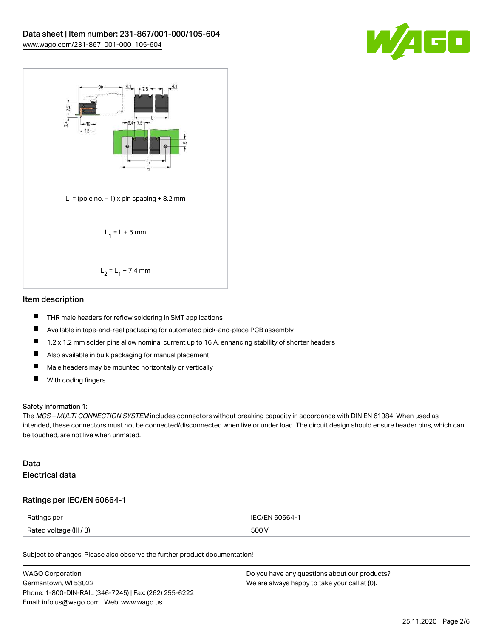



#### Item description

- $\blacksquare$ THR male headers for reflow soldering in SMT applications
- $\blacksquare$ Available in tape-and-reel packaging for automated pick-and-place PCB assembly
- $\blacksquare$ 1.2 x 1.2 mm solder pins allow nominal current up to 16 A, enhancing stability of shorter headers
- $\blacksquare$ Also available in bulk packaging for manual placement
- $\blacksquare$ Male headers may be mounted horizontally or vertically
- $\blacksquare$ With coding fingers

#### Safety information 1:

The MCS – MULTI CONNECTION SYSTEM includes connectors without breaking capacity in accordance with DIN EN 61984. When used as intended, these connectors must not be connected/disconnected when live or under load. The circuit design should ensure header pins, which can be touched, are not live when unmated.

#### Data Electrical data

#### Ratings per IEC/EN 60664-1

| Ratings per             | IFC/FN 60664-1 |
|-------------------------|----------------|
| Rated voltage (III / 3) | 500 V          |

Subject to changes. Please also observe the further product documentation!

| <b>WAGO Corporation</b>                                | Do you have any questions about our products? |
|--------------------------------------------------------|-----------------------------------------------|
| Germantown, WI 53022                                   | We are always happy to take your call at {0}. |
| Phone: 1-800-DIN-RAIL (346-7245)   Fax: (262) 255-6222 |                                               |
| Email: info.us@wago.com   Web: www.wago.us             |                                               |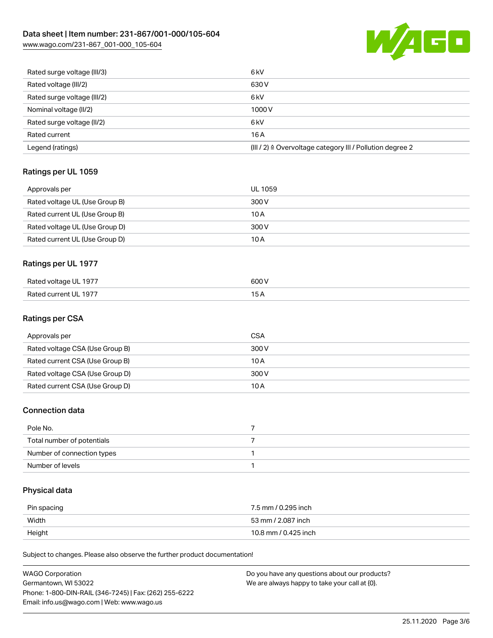# Data sheet | Item number: 231-867/001-000/105-604

[www.wago.com/231-867\\_001-000\\_105-604](http://www.wago.com/231-867_001-000_105-604)



| Rated surge voltage (III/3) | 6 <sub>kV</sub>                                                       |
|-----------------------------|-----------------------------------------------------------------------|
| Rated voltage (III/2)       | 630 V                                                                 |
| Rated surge voltage (III/2) | 6 <sub>k</sub> V                                                      |
| Nominal voltage (II/2)      | 1000V                                                                 |
| Rated surge voltage (II/2)  | 6 <sub>k</sub> V                                                      |
| Rated current               | 16A                                                                   |
| Legend (ratings)            | $(III / 2)$ $\triangle$ Overvoltage category III / Pollution degree 2 |

# Ratings per UL 1059

| Approvals per                  | UL 1059 |
|--------------------------------|---------|
| Rated voltage UL (Use Group B) | 300 V   |
| Rated current UL (Use Group B) | 10 A    |
| Rated voltage UL (Use Group D) | 300 V   |
| Rated current UL (Use Group D) | 10 A    |

# Ratings per UL 1977

| Rated voltage UL 1977     | 600\  |
|---------------------------|-------|
| FUL 1977<br>Rated current | _____ |

#### Ratings per CSA

| Approvals per                   | CSA   |
|---------------------------------|-------|
| Rated voltage CSA (Use Group B) | 300 V |
| Rated current CSA (Use Group B) | 10 A  |
| Rated voltage CSA (Use Group D) | 300 V |
| Rated current CSA (Use Group D) | 10 A  |

## Connection data

| Pole No.                   |  |
|----------------------------|--|
| Total number of potentials |  |
| Number of connection types |  |
| Number of levels           |  |

# Physical data

| Pin spacing | 7.5 mm / 0.295 inch  |
|-------------|----------------------|
| Width       | 53 mm / 2.087 inch   |
| Height      | 10.8 mm / 0.425 inch |

Subject to changes. Please also observe the further product documentation!

| WAGO Corporation                                       | Do you have any questions about our products? |
|--------------------------------------------------------|-----------------------------------------------|
| Germantown, WI 53022                                   | We are always happy to take your call at {0}. |
| Phone: 1-800-DIN-RAIL (346-7245)   Fax: (262) 255-6222 |                                               |
| Email: info.us@wago.com   Web: www.wago.us             |                                               |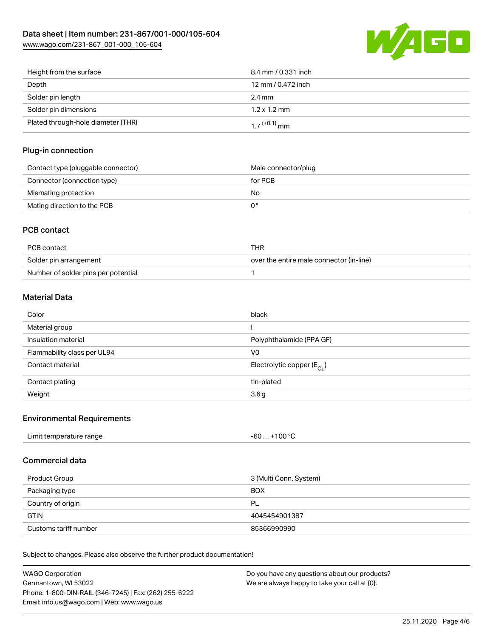

| Height from the surface            | 8.4 mm / 0.331 inch        |
|------------------------------------|----------------------------|
| Depth                              | 12 mm / 0.472 inch         |
| Solder pin length                  | $2.4 \,\mathrm{mm}$        |
| Solder pin dimensions              | $1.2 \times 1.2$ mm        |
| Plated through-hole diameter (THR) | $1.7$ <sup>(+0.1)</sup> mm |

#### Plug-in connection

| Contact type (pluggable connector) | Male connector/plug |
|------------------------------------|---------------------|
| Connector (connection type)        | for PCB             |
| Mismating protection               | No                  |
| Mating direction to the PCB        |                     |

## PCB contact

| PCB contact                         | THR                                      |
|-------------------------------------|------------------------------------------|
| Solder pin arrangement              | over the entire male connector (in-line) |
| Number of solder pins per potential |                                          |

## Material Data

| Color                       | black                                   |
|-----------------------------|-----------------------------------------|
| Material group              |                                         |
| Insulation material         | Polyphthalamide (PPA GF)                |
| Flammability class per UL94 | V0                                      |
| Contact material            | Electrolytic copper ( $E_{\text{Cl}}$ ) |
| Contact plating             | tin-plated                              |
| Weight                      | 3.6 <sub>g</sub>                        |

#### Environmental Requirements

## Commercial data

| 3 (Multi Conn. System)<br>Product Group |               |
|-----------------------------------------|---------------|
| Packaging type                          | <b>BOX</b>    |
| Country of origin                       | <b>PL</b>     |
| <b>GTIN</b>                             | 4045454901387 |
| Customs tariff number                   | 85366990990   |

Subject to changes. Please also observe the further product documentation!

| WAGO Corporation                                       | Do you have any questions about our products? |
|--------------------------------------------------------|-----------------------------------------------|
| Germantown, WI 53022                                   | We are always happy to take your call at {0}. |
| Phone: 1-800-DIN-RAIL (346-7245)   Fax: (262) 255-6222 |                                               |
| Email: info.us@wago.com   Web: www.wago.us             |                                               |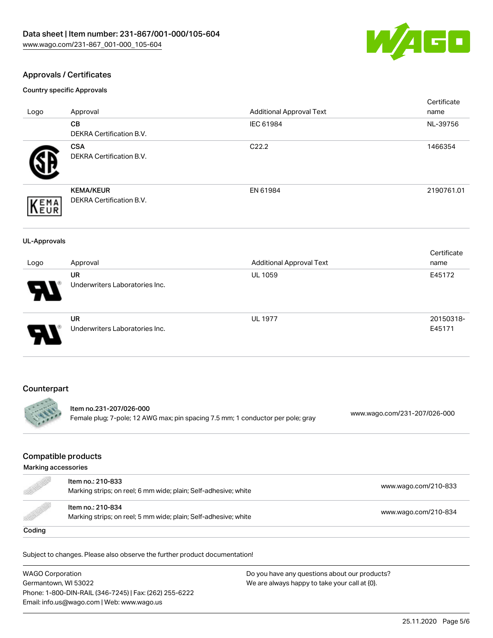

## Approvals / Certificates

Country specific Approvals

|                     |                                                                                                            |                                 | Certificate                  |
|---------------------|------------------------------------------------------------------------------------------------------------|---------------------------------|------------------------------|
| Logo                | Approval                                                                                                   | <b>Additional Approval Text</b> | name                         |
|                     | CB                                                                                                         | IEC 61984                       | NL-39756                     |
|                     | <b>DEKRA Certification B.V.</b>                                                                            |                                 |                              |
|                     | <b>CSA</b>                                                                                                 | C22.2                           | 1466354                      |
|                     | DEKRA Certification B.V.                                                                                   |                                 |                              |
|                     |                                                                                                            |                                 |                              |
|                     | <b>KEMA/KEUR</b><br>DEKRA Certification B.V.                                                               | EN 61984                        | 2190761.01                   |
| <b>KEMA</b>         |                                                                                                            |                                 |                              |
| <b>UL-Approvals</b> |                                                                                                            |                                 |                              |
|                     |                                                                                                            |                                 | Certificate                  |
| Logo                | Approval                                                                                                   | <b>Additional Approval Text</b> | name                         |
|                     | <b>UR</b>                                                                                                  | <b>UL 1059</b>                  | E45172                       |
|                     | Underwriters Laboratories Inc.                                                                             |                                 |                              |
|                     | <b>UR</b>                                                                                                  | <b>UL 1977</b>                  | 20150318-                    |
|                     | Underwriters Laboratories Inc.                                                                             |                                 | E45171                       |
| Counterpart         |                                                                                                            |                                 |                              |
|                     |                                                                                                            |                                 |                              |
|                     | Item no.231-207/026-000<br>Female plug; 7-pole; 12 AWG max; pin spacing 7.5 mm; 1 conductor per pole; gray |                                 | www.wago.com/231-207/026-000 |

## Compatible products

| Marking accessories                                                                                                     |                                                                                      |                      |
|-------------------------------------------------------------------------------------------------------------------------|--------------------------------------------------------------------------------------|----------------------|
| d de la década de la década de la década de la década de la década de la década de la década de la década de l<br>Desde | Item no.: 210-833<br>Marking strips; on reel; 6 mm wide; plain; Self-adhesive; white | www.wago.com/210-833 |
| <u>M</u>                                                                                                                | Item no.: 210-834<br>Marking strips; on reel; 5 mm wide; plain; Self-adhesive; white | www.wago.com/210-834 |
| Coding                                                                                                                  |                                                                                      |                      |

Subject to changes. Please also observe the further product documentation!

WAGO Corporation Germantown, WI 53022 Phone: 1-800-DIN-RAIL (346-7245) | Fax: (262) 255-6222 Email: info.us@wago.com | Web: www.wago.us Do you have any questions about our products? We are always happy to take your call at {0}.